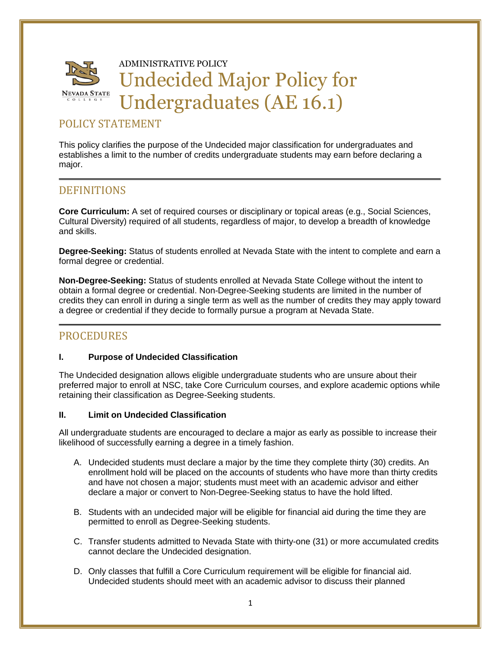

## POLICY STATEMENT

This policy clarifies the purpose of the Undecided major classification for undergraduates and establishes a limit to the number of credits undergraduate students may earn before declaring a major.

# **DEFINITIONS**

**Core Curriculum:** A set of required courses or disciplinary or topical areas (e.g., Social Sciences, Cultural Diversity) required of all students, regardless of major, to develop a breadth of knowledge and skills.

**Degree-Seeking:** Status of students enrolled at Nevada State with the intent to complete and earn a formal degree or credential.

**Non-Degree-Seeking:** Status of students enrolled at Nevada State College without the intent to obtain a formal degree or credential. Non-Degree-Seeking students are limited in the number of credits they can enroll in during a single term as well as the number of credits they may apply toward a degree or credential if they decide to formally pursue a program at Nevada State.

### PROCEDURES

#### **I. Purpose of Undecided Classification**

The Undecided designation allows eligible undergraduate students who are unsure about their preferred major to enroll at NSC, take Core Curriculum courses, and explore academic options while retaining their classification as Degree-Seeking students.

#### **II. Limit on Undecided Classification**

All undergraduate students are encouraged to declare a major as early as possible to increase their likelihood of successfully earning a degree in a timely fashion.

- A. Undecided students must declare a major by the time they complete thirty (30) credits. An enrollment hold will be placed on the accounts of students who have more than thirty credits and have not chosen a major; students must meet with an academic advisor and either declare a major or convert to Non-Degree-Seeking status to have the hold lifted.
- B. Students with an undecided major will be eligible for financial aid during the time they are permitted to enroll as Degree-Seeking students.
- C. Transfer students admitted to Nevada State with thirty-one (31) or more accumulated credits cannot declare the Undecided designation.
- D. Only classes that fulfill a Core Curriculum requirement will be eligible for financial aid. Undecided students should meet with an academic advisor to discuss their planned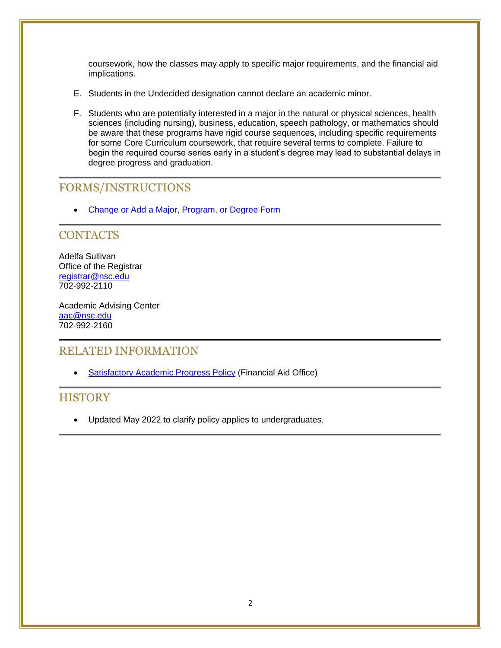coursework, how the classes may apply to specific major requirements, and the financial aid implications.

- E. Students in the Undecided designation cannot declare an academic minor.
- F. Students who are potentially interested in a major in the natural or physical sciences, health sciences (including nursing), business, education, speech pathology, or mathematics should be aware that these programs have rigid course sequences, including specific requirements for some Core Curriculum coursework, that require several terms to complete. Failure to begin the required course series early in a student's degree may lead to substantial delays in degree progress and graduation.

## FORMS/INSTRUCTIONS

[Change or Add a Major, Program, or Degree Form](https://nshe.onbaseonline.com/formsappnet/UnityForm.aspx?d1=AYEdbW8DF4WrgkLvNBPIT9dHoIlrLz3uRY1YSwbsiVeU5HfOKbjWu8nW3rcw24EOjXLORFC8Lxq1vEPOiHhE8xmmoU69e4nBOXUaEB2IW3OzPVlCo4Lv%2fxLGnIpRMP2yCe9CDaBVJU33ehfVAp5w433h%2fUlGOpeDYQPCMssQxfPXEENr0Nt0xnfnQ5UBGy%2fuqhEAcpPcrTRtE3dYDF4f8LE%3d)

### **CONTACTS**

Adelfa Sullivan Office of the Registrar [registrar@nsc.edu](mailto:registrar@nsc.edu) 702-992-2110

Academic Advising Center [aac@nsc.edu](mailto:aac@nsc.edu) 702-992-2160

### RELATED INFORMATION

• [Satisfactory Academic Progress Policy](https://nsc.edu/wp-content/uploads/2020/12/1.3-Satisfactory-Academic-Progress.pdf) (Financial Aid Office)

### **HISTORY**

• Updated May 2022 to clarify policy applies to undergraduates.